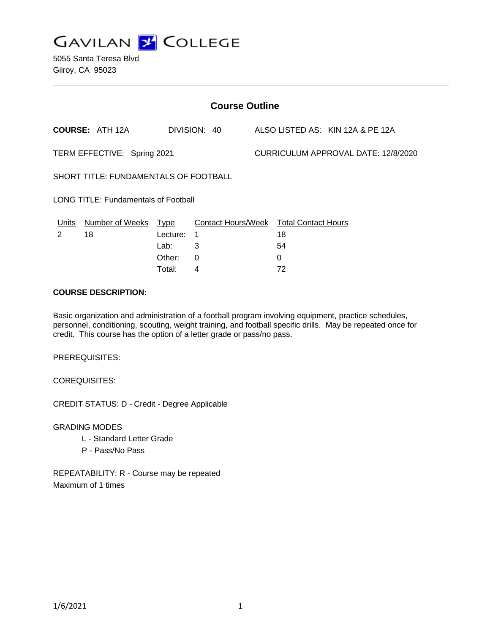

5055 Santa Teresa Blvd Gilroy, CA 95023

| <b>Course Outline</b>                       |                        |             |                           |  |                                     |                                  |  |
|---------------------------------------------|------------------------|-------------|---------------------------|--|-------------------------------------|----------------------------------|--|
|                                             | <b>COURSE: ATH 12A</b> |             | DIVISION: 40              |  |                                     | ALSO LISTED AS: KIN 12A & PE 12A |  |
| TERM EFFECTIVE: Spring 2021                 |                        |             |                           |  | CURRICULUM APPROVAL DATE: 12/8/2020 |                                  |  |
| SHORT TITLE: FUNDAMENTALS OF FOOTBALL       |                        |             |                           |  |                                     |                                  |  |
| <b>LONG TITLE: Fundamentals of Football</b> |                        |             |                           |  |                                     |                                  |  |
| Units                                       | <b>Number of Weeks</b> | <b>Type</b> | <b>Contact Hours/Week</b> |  | <b>Total Contact Hours</b>          |                                  |  |
| 2                                           | 18                     | Lecture:    | 1                         |  | 18                                  |                                  |  |
|                                             |                        | Lab:        | 3                         |  | 54                                  |                                  |  |
|                                             |                        | Other:      | 0                         |  | 0                                   |                                  |  |
|                                             |                        | Total:      | 4                         |  | 72                                  |                                  |  |

### **COURSE DESCRIPTION:**

Basic organization and administration of a football program involving equipment, practice schedules, personnel, conditioning, scouting, weight training, and football specific drills. May be repeated once for credit. This course has the option of a letter grade or pass/no pass.

PREREQUISITES:

COREQUISITES:

CREDIT STATUS: D - Credit - Degree Applicable

GRADING MODES

- L Standard Letter Grade
- P Pass/No Pass

REPEATABILITY: R - Course may be repeated Maximum of 1 times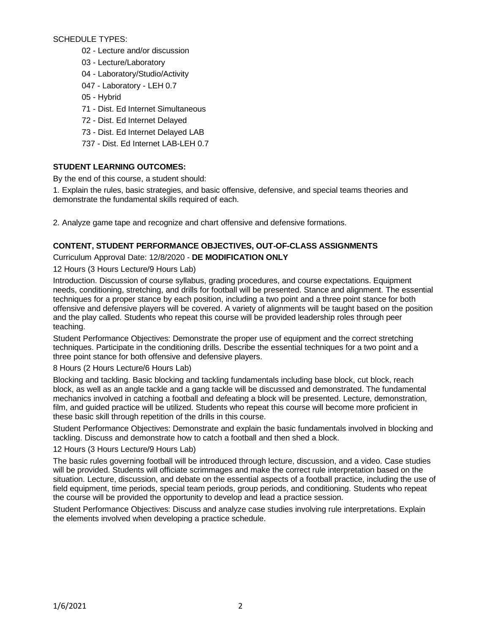SCHEDULE TYPES:

- 02 Lecture and/or discussion
- 03 Lecture/Laboratory
- 04 Laboratory/Studio/Activity
- 047 Laboratory LEH 0.7
- 05 Hybrid
- 71 Dist. Ed Internet Simultaneous
- 72 Dist. Ed Internet Delayed
- 73 Dist. Ed Internet Delayed LAB
- 737 Dist. Ed Internet LAB-LEH 0.7

# **STUDENT LEARNING OUTCOMES:**

By the end of this course, a student should:

1. Explain the rules, basic strategies, and basic offensive, defensive, and special teams theories and demonstrate the fundamental skills required of each.

2. Analyze game tape and recognize and chart offensive and defensive formations.

# **CONTENT, STUDENT PERFORMANCE OBJECTIVES, OUT-OF-CLASS ASSIGNMENTS**

Curriculum Approval Date: 12/8/2020 - **DE MODIFICATION ONLY**

12 Hours (3 Hours Lecture/9 Hours Lab)

Introduction. Discussion of course syllabus, grading procedures, and course expectations. Equipment needs, conditioning, stretching, and drills for football will be presented. Stance and alignment. The essential techniques for a proper stance by each position, including a two point and a three point stance for both offensive and defensive players will be covered. A variety of alignments will be taught based on the position and the play called. Students who repeat this course will be provided leadership roles through peer teaching.

Student Performance Objectives: Demonstrate the proper use of equipment and the correct stretching techniques. Participate in the conditioning drills. Describe the essential techniques for a two point and a three point stance for both offensive and defensive players.

8 Hours (2 Hours Lecture/6 Hours Lab)

Blocking and tackling. Basic blocking and tackling fundamentals including base block, cut block, reach block, as well as an angle tackle and a gang tackle will be discussed and demonstrated. The fundamental mechanics involved in catching a football and defeating a block will be presented. Lecture, demonstration, film, and guided practice will be utilized. Students who repeat this course will become more proficient in these basic skill through repetition of the drills in this course.

Student Performance Objectives: Demonstrate and explain the basic fundamentals involved in blocking and tackling. Discuss and demonstrate how to catch a football and then shed a block.

## 12 Hours (3 Hours Lecture/9 Hours Lab)

The basic rules governing football will be introduced through lecture, discussion, and a video. Case studies will be provided. Students will officiate scrimmages and make the correct rule interpretation based on the situation. Lecture, discussion, and debate on the essential aspects of a football practice, including the use of field equipment, time periods, special team periods, group periods, and conditioning. Students who repeat the course will be provided the opportunity to develop and lead a practice session.

Student Performance Objectives: Discuss and analyze case studies involving rule interpretations. Explain the elements involved when developing a practice schedule.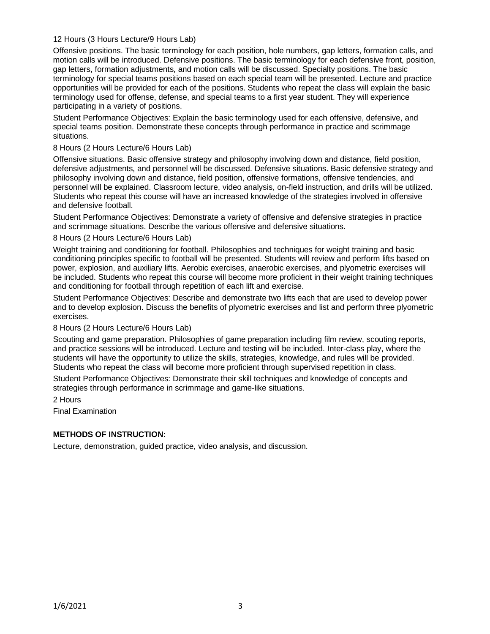### 12 Hours (3 Hours Lecture/9 Hours Lab)

Offensive positions. The basic terminology for each position, hole numbers, gap letters, formation calls, and motion calls will be introduced. Defensive positions. The basic terminology for each defensive front, position, gap letters, formation adjustments, and motion calls will be discussed. Specialty positions. The basic terminology for special teams positions based on each special team will be presented. Lecture and practice opportunities will be provided for each of the positions. Students who repeat the class will explain the basic terminology used for offense, defense, and special teams to a first year student. They will experience participating in a variety of positions.

Student Performance Objectives: Explain the basic terminology used for each offensive, defensive, and special teams position. Demonstrate these concepts through performance in practice and scrimmage situations.

### 8 Hours (2 Hours Lecture/6 Hours Lab)

Offensive situations. Basic offensive strategy and philosophy involving down and distance, field position, defensive adjustments, and personnel will be discussed. Defensive situations. Basic defensive strategy and philosophy involving down and distance, field position, offensive formations, offensive tendencies, and personnel will be explained. Classroom lecture, video analysis, on-field instruction, and drills will be utilized. Students who repeat this course will have an increased knowledge of the strategies involved in offensive and defensive football.

Student Performance Objectives: Demonstrate a variety of offensive and defensive strategies in practice and scrimmage situations. Describe the various offensive and defensive situations.

#### 8 Hours (2 Hours Lecture/6 Hours Lab)

Weight training and conditioning for football. Philosophies and techniques for weight training and basic conditioning principles specific to football will be presented. Students will review and perform lifts based on power, explosion, and auxiliary lifts. Aerobic exercises, anaerobic exercises, and plyometric exercises will be included. Students who repeat this course will become more proficient in their weight training techniques and conditioning for football through repetition of each lift and exercise.

Student Performance Objectives: Describe and demonstrate two lifts each that are used to develop power and to develop explosion. Discuss the benefits of plyometric exercises and list and perform three plyometric exercises.

#### 8 Hours (2 Hours Lecture/6 Hours Lab)

Scouting and game preparation. Philosophies of game preparation including film review, scouting reports, and practice sessions will be introduced. Lecture and testing will be included. Inter-class play, where the students will have the opportunity to utilize the skills, strategies, knowledge, and rules will be provided. Students who repeat the class will become more proficient through supervised repetition in class.

Student Performance Objectives: Demonstrate their skill techniques and knowledge of concepts and strategies through performance in scrimmage and game-like situations.

2 Hours

Final Examination

## **METHODS OF INSTRUCTION:**

Lecture, demonstration, guided practice, video analysis, and discussion.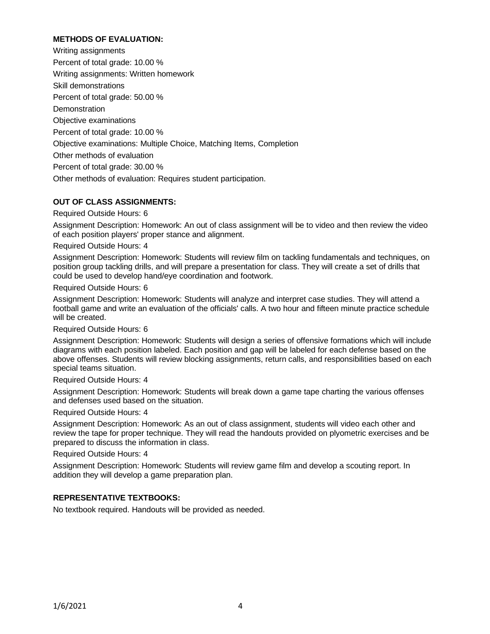# **METHODS OF EVALUATION:**

Writing assignments Percent of total grade: 10.00 % Writing assignments: Written homework Skill demonstrations Percent of total grade: 50.00 % **Demonstration** Objective examinations Percent of total grade: 10.00 % Objective examinations: Multiple Choice, Matching Items, Completion Other methods of evaluation Percent of total grade: 30.00 % Other methods of evaluation: Requires student participation.

### **OUT OF CLASS ASSIGNMENTS:**

Required Outside Hours: 6

Assignment Description: Homework: An out of class assignment will be to video and then review the video of each position players' proper stance and alignment.

Required Outside Hours: 4

Assignment Description: Homework: Students will review film on tackling fundamentals and techniques, on position group tackling drills, and will prepare a presentation for class. They will create a set of drills that could be used to develop hand/eye coordination and footwork.

Required Outside Hours: 6

Assignment Description: Homework: Students will analyze and interpret case studies. They will attend a football game and write an evaluation of the officials' calls. A two hour and fifteen minute practice schedule will be created.

Required Outside Hours: 6

Assignment Description: Homework: Students will design a series of offensive formations which will include diagrams with each position labeled. Each position and gap will be labeled for each defense based on the above offenses. Students will review blocking assignments, return calls, and responsibilities based on each special teams situation.

Required Outside Hours: 4

Assignment Description: Homework: Students will break down a game tape charting the various offenses and defenses used based on the situation.

Required Outside Hours: 4

Assignment Description: Homework: As an out of class assignment, students will video each other and review the tape for proper technique. They will read the handouts provided on plyometric exercises and be prepared to discuss the information in class.

Required Outside Hours: 4

Assignment Description: Homework: Students will review game film and develop a scouting report. In addition they will develop a game preparation plan.

## **REPRESENTATIVE TEXTBOOKS:**

No textbook required. Handouts will be provided as needed.